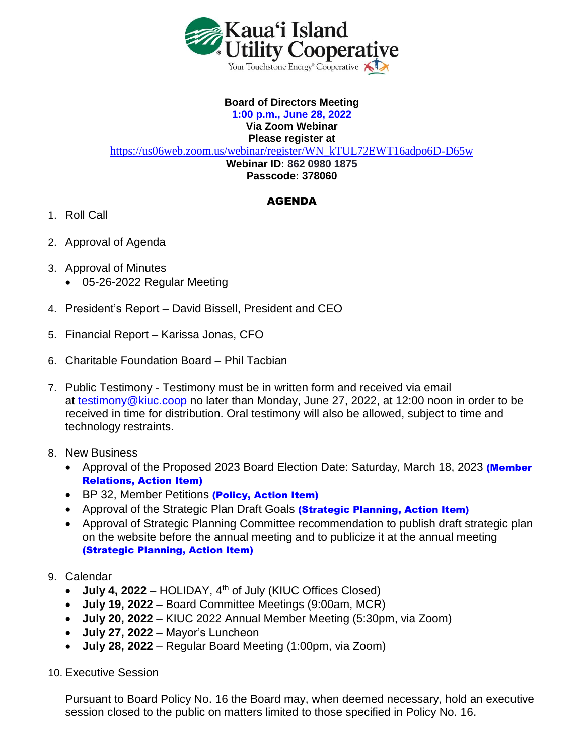

## **Board of Directors Meeting 1:00 p.m., June 28, 2022 Via Zoom Webinar Please register at**

[https://us06web.zoom.us/webinar/register/WN\\_kTUL72EWT16adpo6D-D65w](https://us06web.zoom.us/webinar/register/WN_kTUL72EWT16adpo6D-D65w) **Webinar ID: 862 0980 1875 Passcode: 378060**

## AGENDA

- 1. Roll Call
- 2. Approval of Agenda
- 3. Approval of Minutes
	- 05-26-2022 Regular Meeting
- 4. President's Report David Bissell, President and CEO
- 5. Financial Report Karissa Jonas, CFO
- 6. Charitable Foundation Board Phil Tacbian
- 7. Public Testimony Testimony must be in written form and received via email at [testimony@kiuc.coop](mailto:testimony@kiuc.coop) no later than Monday, June 27, 2022, at 12:00 noon in order to be received in time for distribution. Oral testimony will also be allowed, subject to time and technology restraints.
- 8. New Business
	- Approval of the Proposed 2023 Board Election Date: Saturday, March 18, 2023 (Member Relations, Action Item)
	- BP 32, Member Petitions (Policy, Action Item)
	- Approval of the Strategic Plan Draft Goals (Strategic Planning, Action Item)
	- Approval of Strategic Planning Committee recommendation to publish draft strategic plan on the website before the annual meeting and to publicize it at the annual meeting (Strategic Planning, Action Item)
- 9. Calendar
	- $\bullet$  **July 4, 2022** HOLIDAY,  $4<sup>th</sup>$  of July (KIUC Offices Closed)
	- **July 19, 2022** Board Committee Meetings (9:00am, MCR)
	- **July 20, 2022** KIUC 2022 Annual Member Meeting (5:30pm, via Zoom)
	- **July 27, 2022**  Mayor's Luncheon
	- **July 28, 2022** Regular Board Meeting (1:00pm, via Zoom)
- 10. Executive Session

Pursuant to Board Policy No. 16 the Board may, when deemed necessary, hold an executive session closed to the public on matters limited to those specified in Policy No. 16.